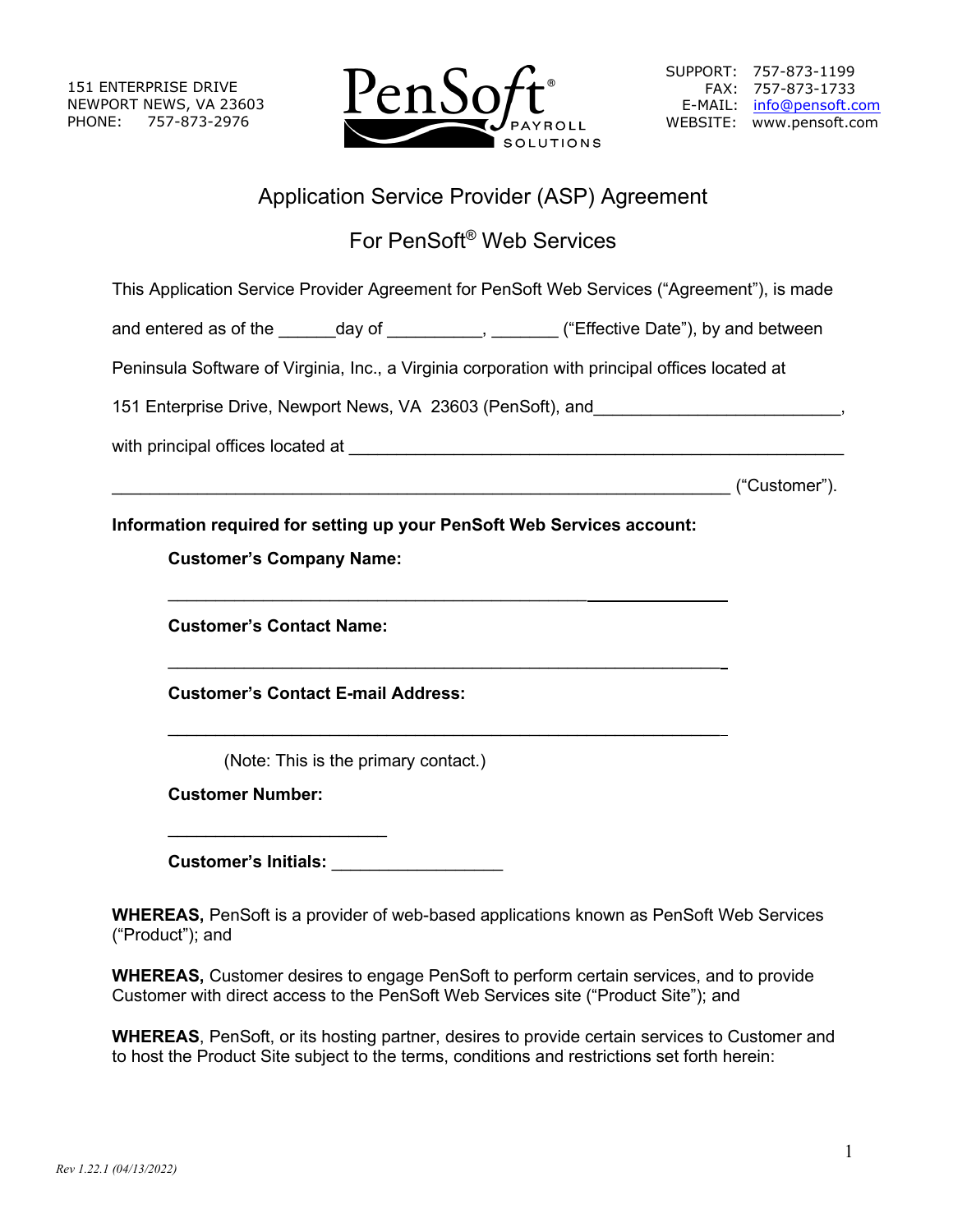151 ENTERPRISE DRIVE NEWPORT NEWS, VA 23603 PHONE: 757-873-2976



# Application Service Provider (ASP) Agreement

# For PenSoft® Web Services

This Application Service Provider Agreement for PenSoft Web Services ("Agreement"), is made

and entered as of the \_\_\_\_\_\_day of \_\_\_\_\_\_\_\_\_, \_\_\_\_\_\_\_\_ ("Effective Date"), by and between

Peninsula Software of Virginia, Inc., a Virginia corporation with principal offices located at

151 Enterprise Drive, Newport News, VA 23603 (PenSoft), and \_\_\_\_\_\_\_\_\_\_\_\_\_\_\_\_\_\_\_,

with principal offices located at  $\blacksquare$ 

\_\_\_\_\_\_\_\_\_\_\_\_\_\_\_\_\_\_\_\_\_\_\_\_\_\_\_\_\_\_\_\_\_\_\_\_\_\_\_\_\_\_\_\_\_\_\_\_\_\_\_\_\_\_\_\_\_\_\_\_\_\_\_\_\_ ("Customer").

# **Information required for setting up your PenSoft Web Services account:**

 $\frac{1}{2}$  ,  $\frac{1}{2}$  ,  $\frac{1}{2}$  ,  $\frac{1}{2}$  ,  $\frac{1}{2}$  ,  $\frac{1}{2}$  ,  $\frac{1}{2}$  ,  $\frac{1}{2}$  ,  $\frac{1}{2}$  ,  $\frac{1}{2}$  ,  $\frac{1}{2}$  ,  $\frac{1}{2}$  ,  $\frac{1}{2}$  ,  $\frac{1}{2}$  ,  $\frac{1}{2}$  ,  $\frac{1}{2}$  ,  $\frac{1}{2}$  ,  $\frac{1}{2}$  ,  $\frac{1$ 

 $\mathcal{L}_\text{max}$  , and the contract of the contract of the contract of the contract of the contract of the contract of the contract of the contract of the contract of the contract of the contract of the contract of the contr

\_\_\_\_\_\_\_\_\_\_\_\_\_\_\_\_\_\_\_\_\_\_\_\_\_\_\_\_\_\_\_\_\_\_\_\_\_\_\_\_\_\_\_\_

# **Customer's Company Name:**

**Customer's Contact Name:**

**Customer's Contact E-mail Address:**

(Note: This is the primary contact.)

**Customer Number:**

 $\overline{\phantom{a}}$  , where  $\overline{\phantom{a}}$  , where  $\overline{\phantom{a}}$  , where  $\overline{\phantom{a}}$ 

**Customer's Initials:** \_\_\_\_\_\_\_\_\_\_\_\_\_\_\_\_\_\_

**WHEREAS,** PenSoft is a provider of web-based applications known as PenSoft Web Services ("Product"); and

**WHEREAS,** Customer desires to engage PenSoft to perform certain services, and to provide Customer with direct access to the PenSoft Web Services site ("Product Site"); and

**WHEREAS**, PenSoft, or its hosting partner, desires to provide certain services to Customer and to host the Product Site subject to the terms, conditions and restrictions set forth herein: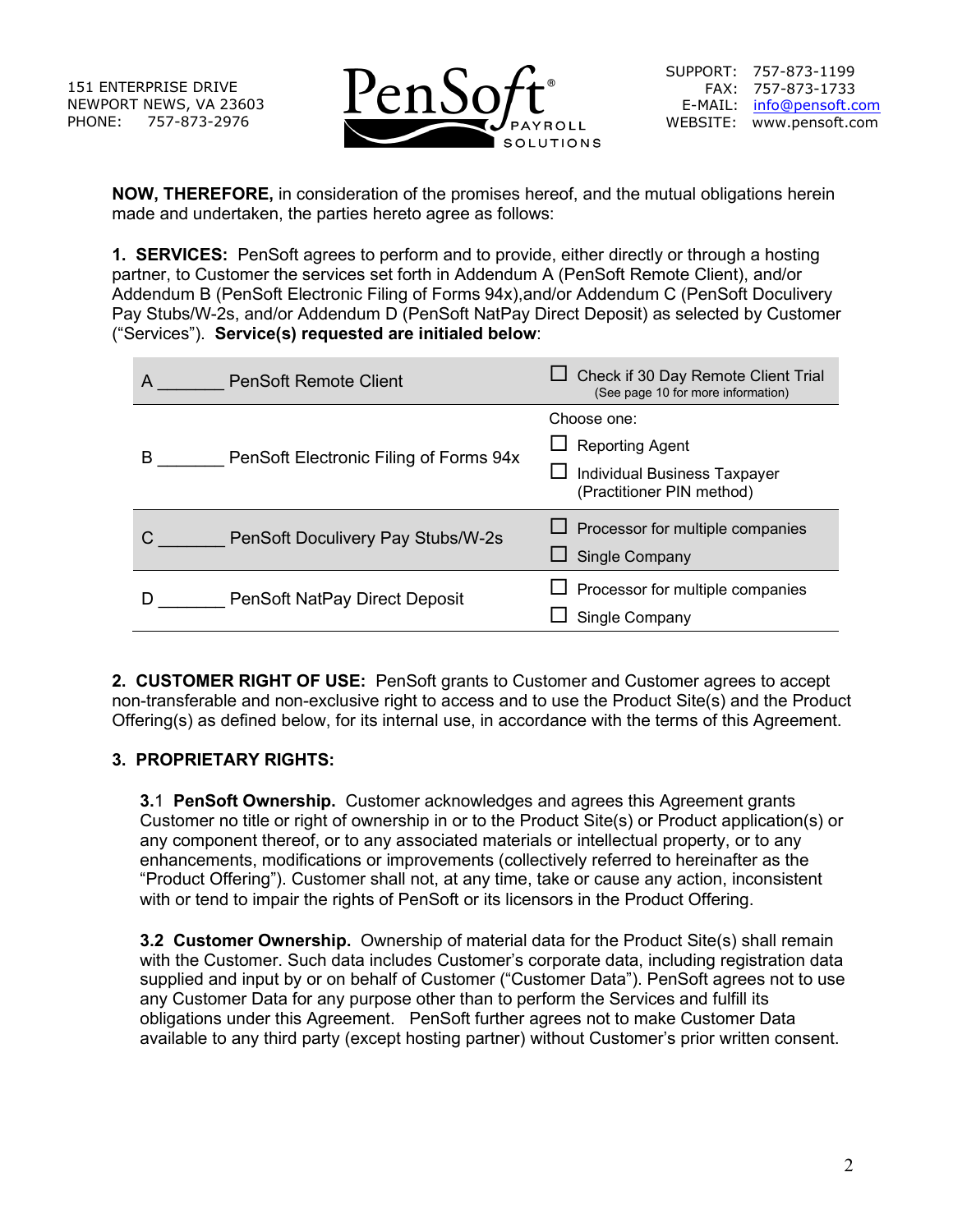151 ENTERPRISE DRIVE NEWPORT NEWS, VA 23603 PHONE: 757-873-2976



**NOW, THEREFORE,** in consideration of the promises hereof, and the mutual obligations herein made and undertaken, the parties hereto agree as follows:

**1. SERVICES:** PenSoft agrees to perform and to provide, either directly or through a hosting partner, to Customer the services set forth in Addendum A (PenSoft Remote Client), and/or Addendum B (PenSoft Electronic Filing of Forms 94x),and/or Addendum C (PenSoft Doculivery Pay Stubs/W-2s, and/or Addendum D (PenSoft NatPay Direct Deposit) as selected by Customer ("Services"). **Service(s) requested are initialed below**:

| A | <b>PenSoft Remote Client</b>           | Check if 30 Day Remote Client Trial<br>(See page 10 for more information) |
|---|----------------------------------------|---------------------------------------------------------------------------|
| B | PenSoft Electronic Filing of Forms 94x | Choose one:                                                               |
|   |                                        | $\Box$ Reporting Agent                                                    |
|   |                                        | <b>Individual Business Taxpayer</b><br>(Practitioner PIN method)          |
|   | PenSoft Doculivery Pay Stubs/W-2s      | $\Box$ Processor for multiple companies                                   |
|   |                                        | <b>Single Company</b>                                                     |
|   | PenSoft NatPay Direct Deposit          | $\Box$ Processor for multiple companies                                   |
|   |                                        | Single Company                                                            |

**2. CUSTOMER RIGHT OF USE:** PenSoft grants to Customer and Customer agrees to accept non-transferable and non-exclusive right to access and to use the Product Site(s) and the Product Offering(s) as defined below, for its internal use, in accordance with the terms of this Agreement.

# **3. PROPRIETARY RIGHTS:**

**3.**1 **PenSoft Ownership.** Customer acknowledges and agrees this Agreement grants Customer no title or right of ownership in or to the Product Site(s) or Product application(s) or any component thereof, or to any associated materials or intellectual property, or to any enhancements, modifications or improvements (collectively referred to hereinafter as the "Product Offering"). Customer shall not, at any time, take or cause any action, inconsistent with or tend to impair the rights of PenSoft or its licensors in the Product Offering.

**3.2 Customer Ownership.** Ownership of material data for the Product Site(s) shall remain with the Customer. Such data includes Customer's corporate data, including registration data supplied and input by or on behalf of Customer ("Customer Data"). PenSoft agrees not to use any Customer Data for any purpose other than to perform the Services and fulfill its obligations under this Agreement. PenSoft further agrees not to make Customer Data available to any third party (except hosting partner) without Customer's prior written consent.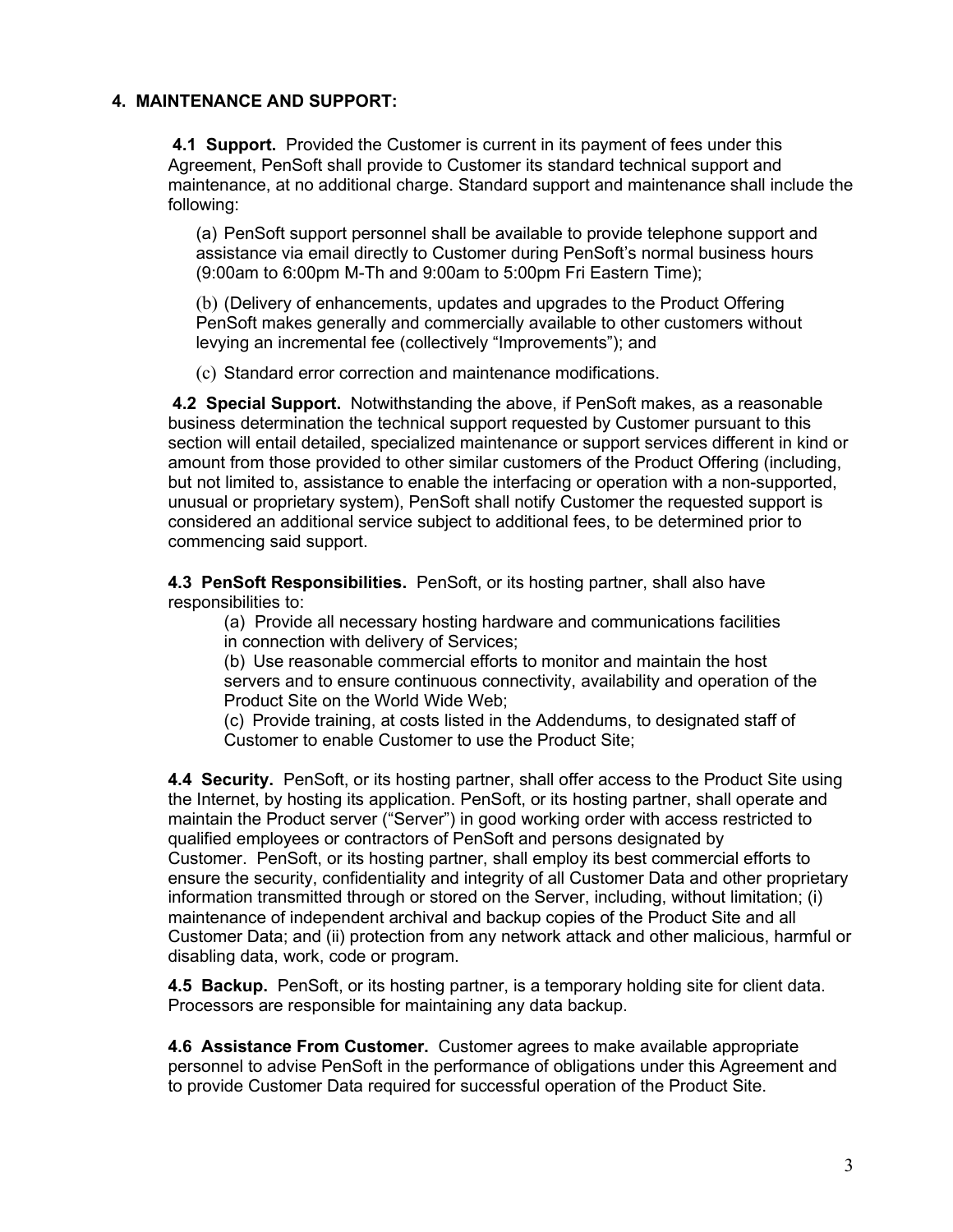## **4. MAINTENANCE AND SUPPORT:**

**4.1 Support.** Provided the Customer is current in its payment of fees under this Agreement, PenSoft shall provide to Customer its standard technical support and maintenance, at no additional charge. Standard support and maintenance shall include the following:

(a) PenSoft support personnel shall be available to provide telephone support and assistance via email directly to Customer during PenSoft's normal business hours (9:00am to 6:00pm M-Th and 9:00am to 5:00pm Fri Eastern Time);

(b) (Delivery of enhancements, updates and upgrades to the Product Offering PenSoft makes generally and commercially available to other customers without levying an incremental fee (collectively "Improvements"); and

(c) Standard error correction and maintenance modifications.

**4.2 Special Support.** Notwithstanding the above, if PenSoft makes, as a reasonable business determination the technical support requested by Customer pursuant to this section will entail detailed, specialized maintenance or support services different in kind or amount from those provided to other similar customers of the Product Offering (including, but not limited to, assistance to enable the interfacing or operation with a non-supported, unusual or proprietary system), PenSoft shall notify Customer the requested support is considered an additional service subject to additional fees, to be determined prior to commencing said support.

**4.3 PenSoft Responsibilities.** PenSoft, or its hosting partner, shall also have responsibilities to:

(a) Provide all necessary hosting hardware and communications facilities in connection with delivery of Services;

(b) Use reasonable commercial efforts to monitor and maintain the host servers and to ensure continuous connectivity, availability and operation of the Product Site on the World Wide Web;

(c) Provide training, at costs listed in the Addendums, to designated staff of Customer to enable Customer to use the Product Site;

**4.4 Security.** PenSoft, or its hosting partner, shall offer access to the Product Site using the Internet, by hosting its application. PenSoft, or its hosting partner, shall operate and maintain the Product server ("Server") in good working order with access restricted to qualified employees or contractors of PenSoft and persons designated by Customer. PenSoft, or its hosting partner, shall employ its best commercial efforts to ensure the security, confidentiality and integrity of all Customer Data and other proprietary information transmitted through or stored on the Server, including, without limitation; (i) maintenance of independent archival and backup copies of the Product Site and all Customer Data; and (ii) protection from any network attack and other malicious, harmful or disabling data, work, code or program.

**4.5 Backup.** PenSoft, or its hosting partner, is a temporary holding site for client data. Processors are responsible for maintaining any data backup.

**4.6 Assistance From Customer.** Customer agrees to make available appropriate personnel to advise PenSoft in the performance of obligations under this Agreement and to provide Customer Data required for successful operation of the Product Site.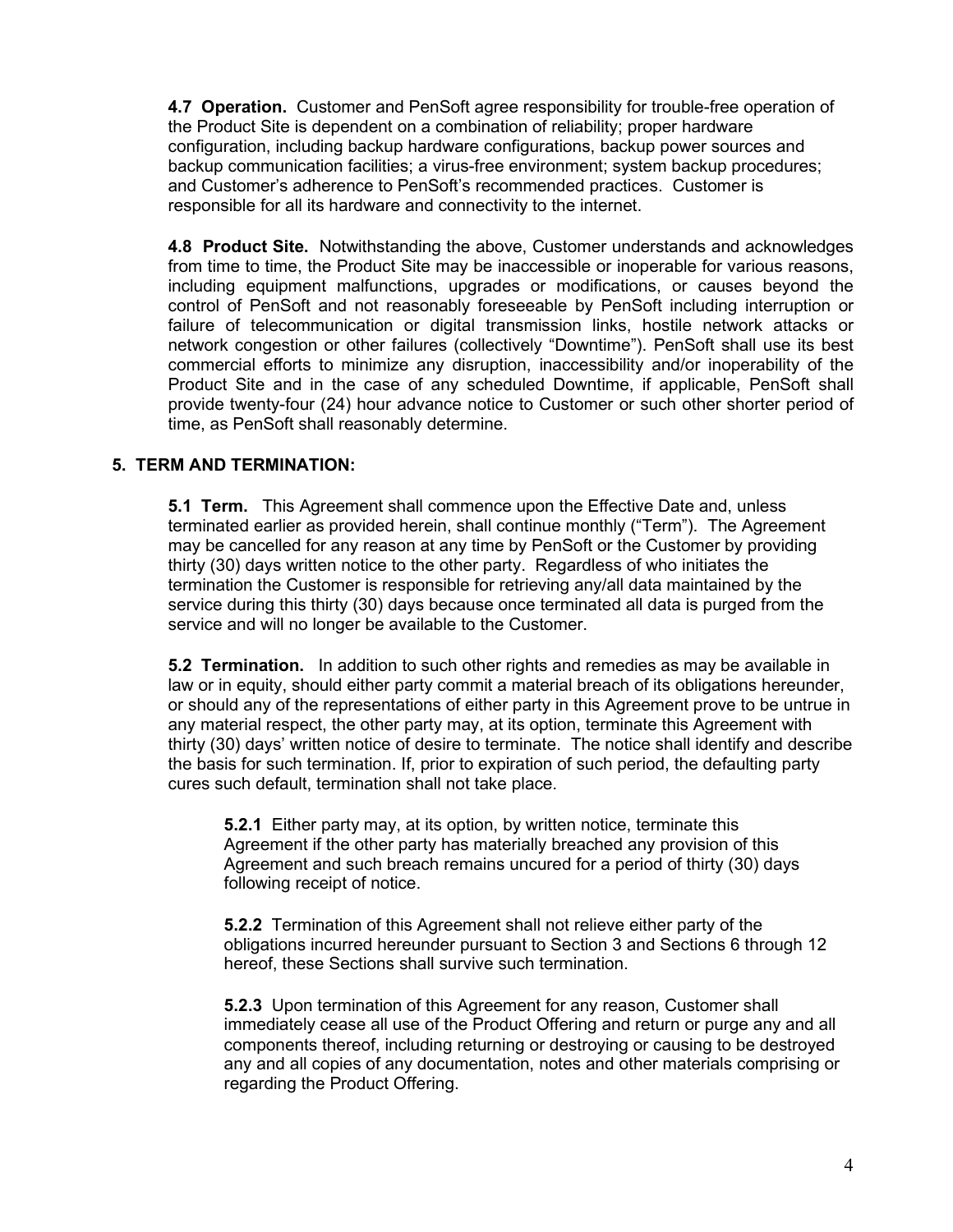**4.7 Operation.** Customer and PenSoft agree responsibility for trouble-free operation of the Product Site is dependent on a combination of reliability; proper hardware configuration, including backup hardware configurations, backup power sources and backup communication facilities; a virus-free environment; system backup procedures; and Customer's adherence to PenSoft's recommended practices. Customer is responsible for all its hardware and connectivity to the internet.

**4.8 Product Site.** Notwithstanding the above, Customer understands and acknowledges from time to time, the Product Site may be inaccessible or inoperable for various reasons, including equipment malfunctions, upgrades or modifications, or causes beyond the control of PenSoft and not reasonably foreseeable by PenSoft including interruption or failure of telecommunication or digital transmission links, hostile network attacks or network congestion or other failures (collectively "Downtime"). PenSoft shall use its best commercial efforts to minimize any disruption, inaccessibility and/or inoperability of the Product Site and in the case of any scheduled Downtime, if applicable, PenSoft shall provide twenty-four (24) hour advance notice to Customer or such other shorter period of time, as PenSoft shall reasonably determine.

# **5. TERM AND TERMINATION:**

**5.1 Term.** This Agreement shall commence upon the Effective Date and, unless terminated earlier as provided herein, shall continue monthly ("Term"). The Agreement may be cancelled for any reason at any time by PenSoft or the Customer by providing thirty (30) days written notice to the other party. Regardless of who initiates the termination the Customer is responsible for retrieving any/all data maintained by the service during this thirty (30) days because once terminated all data is purged from the service and will no longer be available to the Customer.

**5.2 Termination.** In addition to such other rights and remedies as may be available in law or in equity, should either party commit a material breach of its obligations hereunder, or should any of the representations of either party in this Agreement prove to be untrue in any material respect, the other party may, at its option, terminate this Agreement with thirty (30) days' written notice of desire to terminate. The notice shall identify and describe the basis for such termination. If, prior to expiration of such period, the defaulting party cures such default, termination shall not take place.

**5.2.1** Either party may, at its option, by written notice, terminate this Agreement if the other party has materially breached any provision of this Agreement and such breach remains uncured for a period of thirty (30) days following receipt of notice.

**5.2.2** Termination of this Agreement shall not relieve either party of the obligations incurred hereunder pursuant to Section 3 and Sections 6 through 12 hereof, these Sections shall survive such termination.

**5.2.3** Upon termination of this Agreement for any reason, Customer shall immediately cease all use of the Product Offering and return or purge any and all components thereof, including returning or destroying or causing to be destroyed any and all copies of any documentation, notes and other materials comprising or regarding the Product Offering.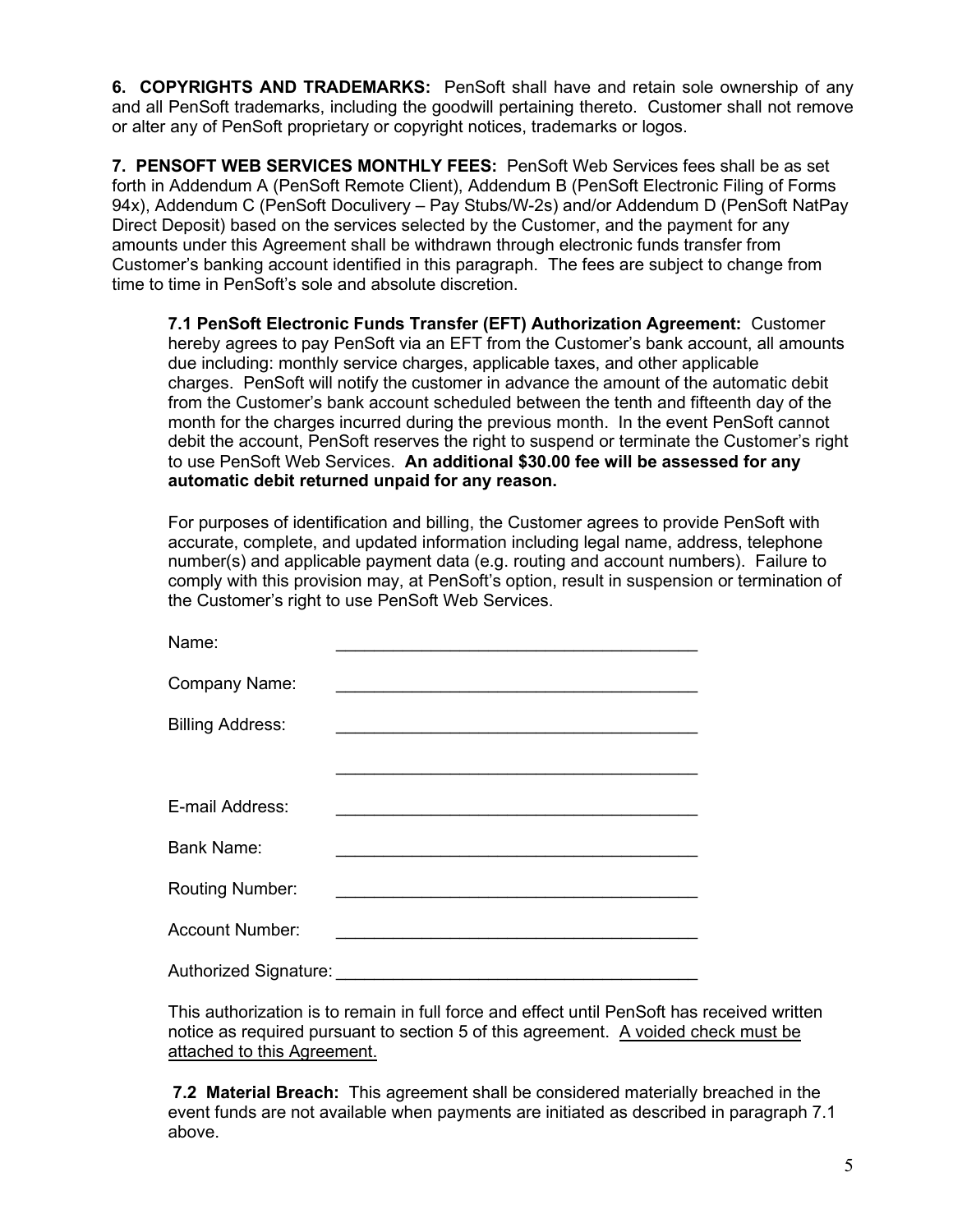**6. COPYRIGHTS AND TRADEMARKS:** PenSoft shall have and retain sole ownership of any and all PenSoft trademarks, including the goodwill pertaining thereto. Customer shall not remove or alter any of PenSoft proprietary or copyright notices, trademarks or logos.

**7. PENSOFT WEB SERVICES MONTHLY FEES:** PenSoft Web Services fees shall be as set forth in Addendum A (PenSoft Remote Client), Addendum B (PenSoft Electronic Filing of Forms 94x), Addendum C (PenSoft Doculivery – Pay Stubs/W-2s) and/or Addendum D (PenSoft NatPay Direct Deposit) based on the services selected by the Customer, and the payment for any amounts under this Agreement shall be withdrawn through electronic funds transfer from Customer's banking account identified in this paragraph. The fees are subject to change from time to time in PenSoft's sole and absolute discretion.

**7.1 PenSoft Electronic Funds Transfer (EFT) Authorization Agreement:** Customer hereby agrees to pay PenSoft via an EFT from the Customer's bank account, all amounts due including: monthly service charges, applicable taxes, and other applicable charges. PenSoft will notify the customer in advance the amount of the automatic debit from the Customer's bank account scheduled between the tenth and fifteenth day of the month for the charges incurred during the previous month. In the event PenSoft cannot debit the account, PenSoft reserves the right to suspend or terminate the Customer's right to use PenSoft Web Services. **An additional \$30.00 fee will be assessed for any automatic debit returned unpaid for any reason.**

For purposes of identification and billing, the Customer agrees to provide PenSoft with accurate, complete, and updated information including legal name, address, telephone number(s) and applicable payment data (e.g. routing and account numbers). Failure to comply with this provision may, at PenSoft's option, result in suspension or termination of the Customer's right to use PenSoft Web Services.

| Name:                   |                                                                                                                 |
|-------------------------|-----------------------------------------------------------------------------------------------------------------|
| <b>Company Name:</b>    | the contract of the contract of the contract of the contract of the contract of the contract of the contract of |
| <b>Billing Address:</b> |                                                                                                                 |
|                         |                                                                                                                 |
| E-mail Address:         |                                                                                                                 |
| <b>Bank Name:</b>       |                                                                                                                 |
| <b>Routing Number:</b>  |                                                                                                                 |
| <b>Account Number:</b>  |                                                                                                                 |
| Authorized Signature:   |                                                                                                                 |

This authorization is to remain in full force and effect until PenSoft has received written notice as required pursuant to section 5 of this agreement. A voided check must be attached to this Agreement.

**7.2 Material Breach:** This agreement shall be considered materially breached in the event funds are not available when payments are initiated as described in paragraph 7.1 above.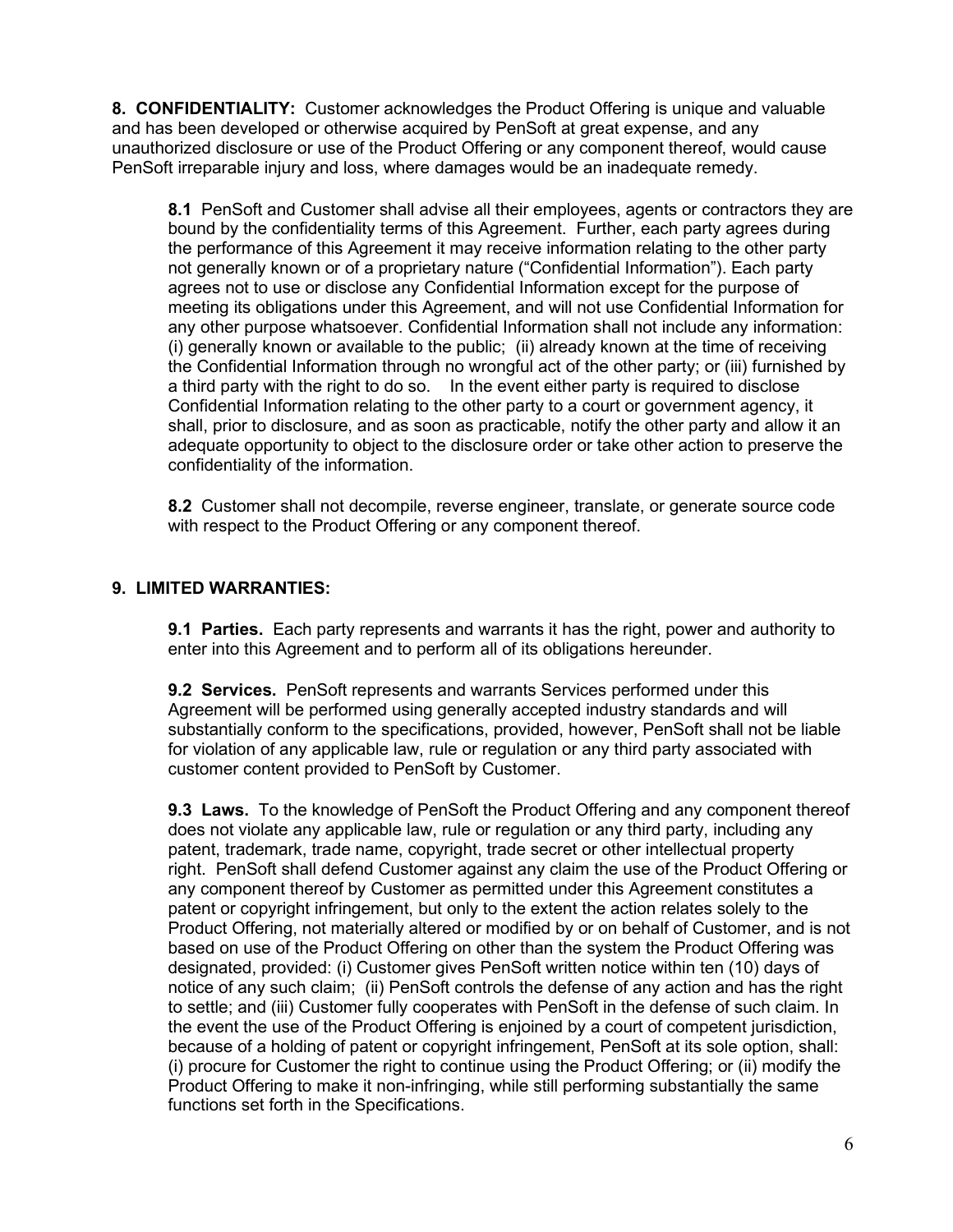**8. CONFIDENTIALITY:** Customer acknowledges the Product Offering is unique and valuable and has been developed or otherwise acquired by PenSoft at great expense, and any unauthorized disclosure or use of the Product Offering or any component thereof, would cause PenSoft irreparable injury and loss, where damages would be an inadequate remedy.

**8.1** PenSoft and Customer shall advise all their employees, agents or contractors they are bound by the confidentiality terms of this Agreement. Further, each party agrees during the performance of this Agreement it may receive information relating to the other party not generally known or of a proprietary nature ("Confidential Information"). Each party agrees not to use or disclose any Confidential Information except for the purpose of meeting its obligations under this Agreement, and will not use Confidential Information for any other purpose whatsoever. Confidential Information shall not include any information: (i) generally known or available to the public; (ii) already known at the time of receiving the Confidential Information through no wrongful act of the other party; or (iii) furnished by a third party with the right to do so. In the event either party is required to disclose Confidential Information relating to the other party to a court or government agency, it shall, prior to disclosure, and as soon as practicable, notify the other party and allow it an adequate opportunity to object to the disclosure order or take other action to preserve the confidentiality of the information.

**8.2** Customer shall not decompile, reverse engineer, translate, or generate source code with respect to the Product Offering or any component thereof.

### **9. LIMITED WARRANTIES:**

**9.1 Parties.** Each party represents and warrants it has the right, power and authority to enter into this Agreement and to perform all of its obligations hereunder.

**9.2 Services.** PenSoft represents and warrants Services performed under this Agreement will be performed using generally accepted industry standards and will substantially conform to the specifications, provided, however, PenSoft shall not be liable for violation of any applicable law, rule or regulation or any third party associated with customer content provided to PenSoft by Customer.

**9.3 Laws.** To the knowledge of PenSoft the Product Offering and any component thereof does not violate any applicable law, rule or regulation or any third party, including any patent, trademark, trade name, copyright, trade secret or other intellectual property right. PenSoft shall defend Customer against any claim the use of the Product Offering or any component thereof by Customer as permitted under this Agreement constitutes a patent or copyright infringement, but only to the extent the action relates solely to the Product Offering, not materially altered or modified by or on behalf of Customer, and is not based on use of the Product Offering on other than the system the Product Offering was designated, provided: (i) Customer gives PenSoft written notice within ten (10) days of notice of any such claim; (ii) PenSoft controls the defense of any action and has the right to settle; and (iii) Customer fully cooperates with PenSoft in the defense of such claim. In the event the use of the Product Offering is enjoined by a court of competent jurisdiction, because of a holding of patent or copyright infringement, PenSoft at its sole option, shall: (i) procure for Customer the right to continue using the Product Offering; or (ii) modify the Product Offering to make it non-infringing, while still performing substantially the same functions set forth in the Specifications.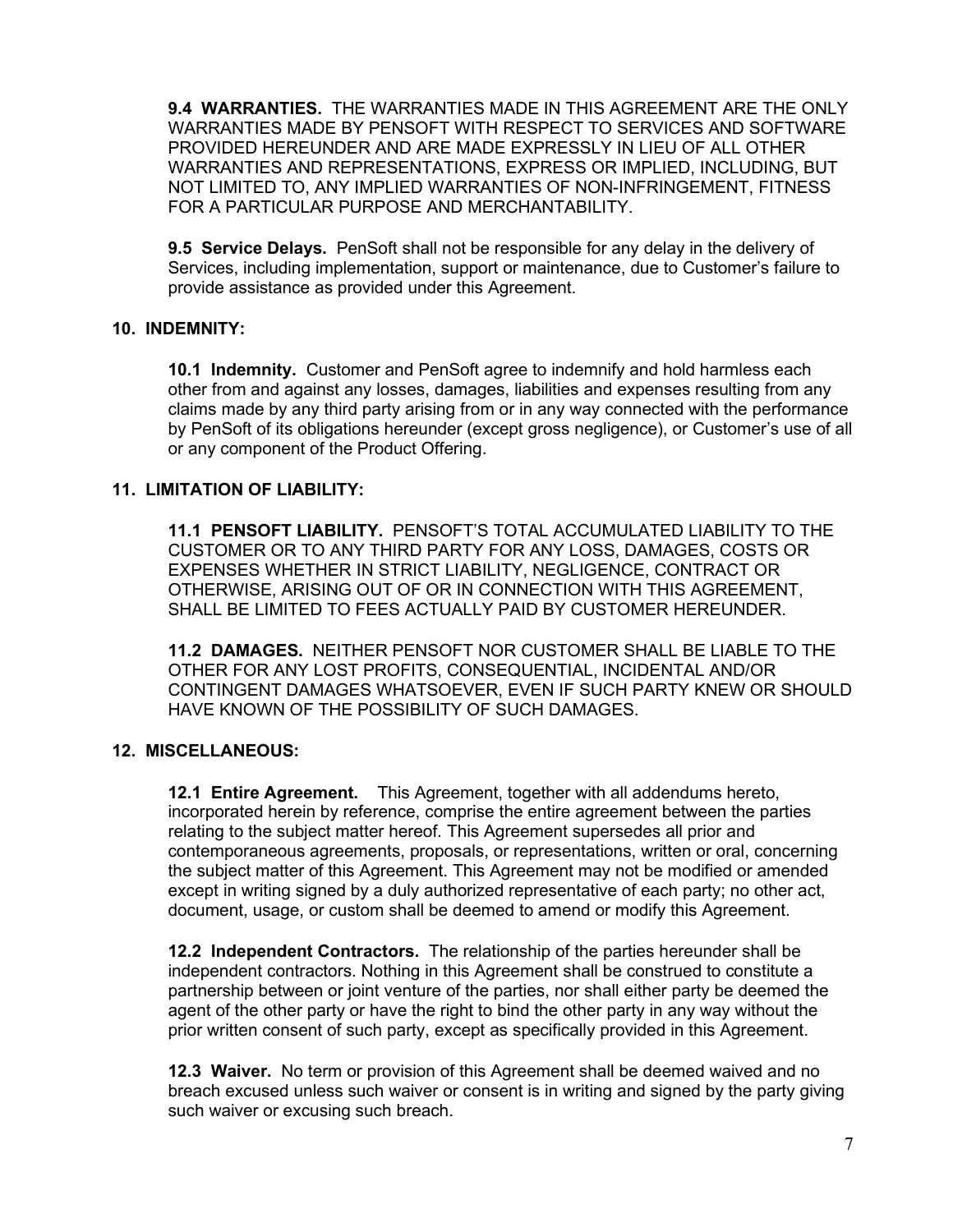**9.4 WARRANTIES.** THE WARRANTIES MADE IN THIS AGREEMENT ARE THE ONLY WARRANTIES MADE BY PENSOFT WITH RESPECT TO SERVICES AND SOFTWARE PROVIDED HEREUNDER AND ARE MADE EXPRESSLY IN LIEU OF ALL OTHER WARRANTIES AND REPRESENTATIONS, EXPRESS OR IMPLIED, INCLUDING, BUT NOT LIMITED TO, ANY IMPLIED WARRANTIES OF NON-INFRINGEMENT, FITNESS FOR A PARTICULAR PURPOSE AND MERCHANTABILITY.

**9.5 Service Delays.** PenSoft shall not be responsible for any delay in the delivery of Services, including implementation, support or maintenance, due to Customer's failure to provide assistance as provided under this Agreement.

### **10. INDEMNITY:**

**10.1 Indemnity.** Customer and PenSoft agree to indemnify and hold harmless each other from and against any losses, damages, liabilities and expenses resulting from any claims made by any third party arising from or in any way connected with the performance by PenSoft of its obligations hereunder (except gross negligence), or Customer's use of all or any component of the Product Offering.

# **11. LIMITATION OF LIABILITY:**

**11.1 PENSOFT LIABILITY.** PENSOFT'S TOTAL ACCUMULATED LIABILITY TO THE CUSTOMER OR TO ANY THIRD PARTY FOR ANY LOSS, DAMAGES, COSTS OR EXPENSES WHETHER IN STRICT LIABILITY, NEGLIGENCE, CONTRACT OR OTHERWISE, ARISING OUT OF OR IN CONNECTION WITH THIS AGREEMENT, SHALL BE LIMITED TO FEES ACTUALLY PAID BY CUSTOMER HEREUNDER.

**11.2 DAMAGES.** NEITHER PENSOFT NOR CUSTOMER SHALL BE LIABLE TO THE OTHER FOR ANY LOST PROFITS, CONSEQUENTIAL, INCIDENTAL AND/OR CONTINGENT DAMAGES WHATSOEVER, EVEN IF SUCH PARTY KNEW OR SHOULD HAVE KNOWN OF THE POSSIBILITY OF SUCH DAMAGES.

# **12. MISCELLANEOUS:**

**12.1 Entire Agreement.** This Agreement, together with all addendums hereto, incorporated herein by reference, comprise the entire agreement between the parties relating to the subject matter hereof. This Agreement supersedes all prior and contemporaneous agreements, proposals, or representations, written or oral, concerning the subject matter of this Agreement. This Agreement may not be modified or amended except in writing signed by a duly authorized representative of each party; no other act, document, usage, or custom shall be deemed to amend or modify this Agreement.

**12.2 Independent Contractors.** The relationship of the parties hereunder shall be independent contractors. Nothing in this Agreement shall be construed to constitute a partnership between or joint venture of the parties, nor shall either party be deemed the agent of the other party or have the right to bind the other party in any way without the prior written consent of such party, except as specifically provided in this Agreement.

**12.3 Waiver.** No term or provision of this Agreement shall be deemed waived and no breach excused unless such waiver or consent is in writing and signed by the party giving such waiver or excusing such breach.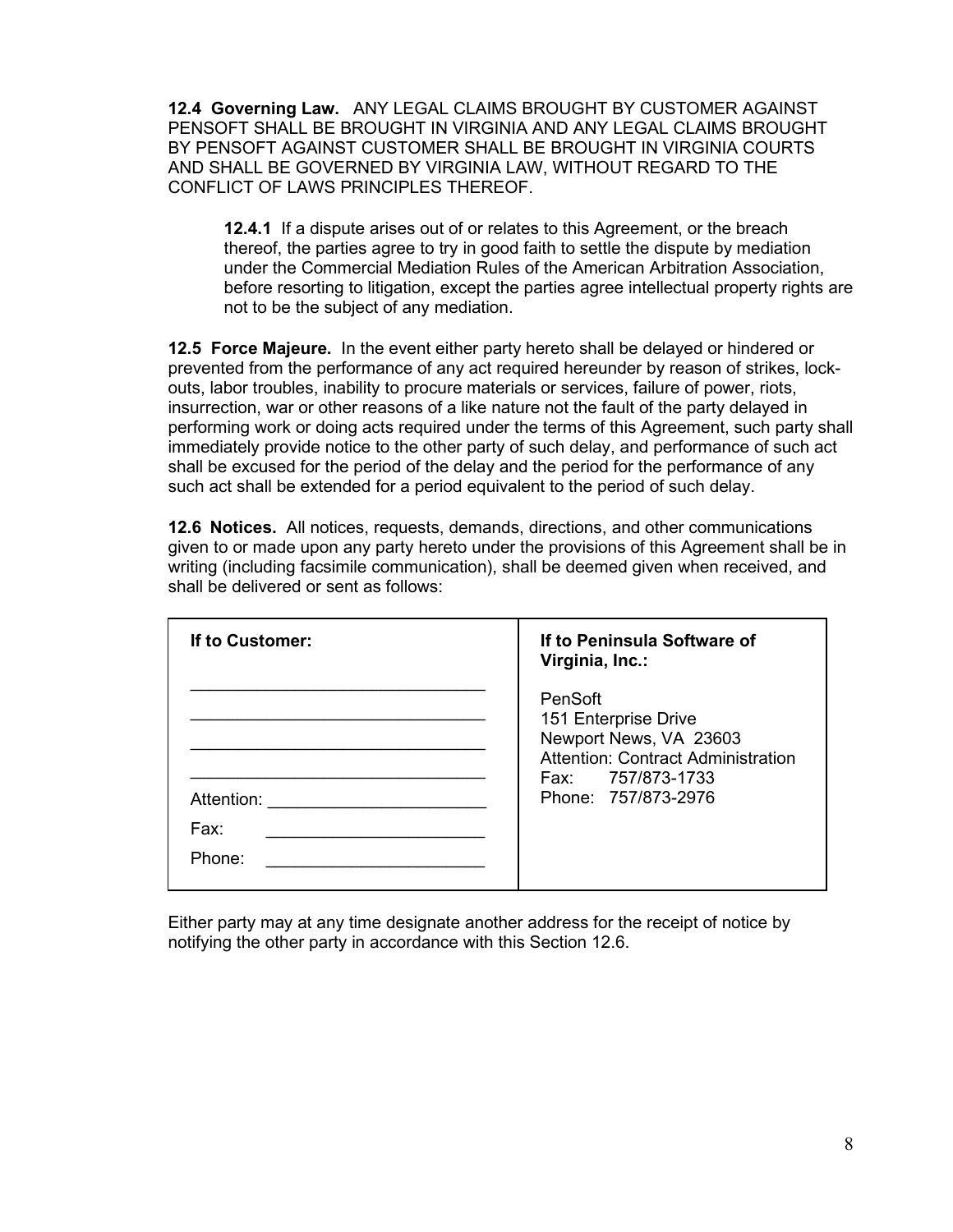**12.4 Governing Law.** ANY LEGAL CLAIMS BROUGHT BY CUSTOMER AGAINST PENSOFT SHALL BE BROUGHT IN VIRGINIA AND ANY LEGAL CLAIMS BROUGHT BY PENSOFT AGAINST CUSTOMER SHALL BE BROUGHT IN VIRGINIA COURTS AND SHALL BE GOVERNED BY VIRGINIA LAW, WITHOUT REGARD TO THE CONFLICT OF LAWS PRINCIPLES THEREOF.

**12.4.1** If a dispute arises out of or relates to this Agreement, or the breach thereof, the parties agree to try in good faith to settle the dispute by mediation under the Commercial Mediation Rules of the American Arbitration Association, before resorting to litigation, except the parties agree intellectual property rights are not to be the subject of any mediation.

**12.5 Force Majeure.** In the event either party hereto shall be delayed or hindered or prevented from the performance of any act required hereunder by reason of strikes, lockouts, labor troubles, inability to procure materials or services, failure of power, riots, insurrection, war or other reasons of a like nature not the fault of the party delayed in performing work or doing acts required under the terms of this Agreement, such party shall immediately provide notice to the other party of such delay, and performance of such act shall be excused for the period of the delay and the period for the performance of any such act shall be extended for a period equivalent to the period of such delay.

**12.6 Notices.** All notices, requests, demands, directions, and other communications given to or made upon any party hereto under the provisions of this Agreement shall be in writing (including facsimile communication), shall be deemed given when received, and shall be delivered or sent as follows:

| If to Customer:              | If to Peninsula Software of<br>Virginia, Inc.:                                                                                                            |
|------------------------------|-----------------------------------------------------------------------------------------------------------------------------------------------------------|
| Attention:<br>Fax:<br>Phone: | PenSoft<br>151 Enterprise Drive<br>Newport News, VA 23603<br><b>Attention: Contract Administration</b><br>757/873-1733<br>Fax: Fax<br>Phone: 757/873-2976 |

Either party may at any time designate another address for the receipt of notice by notifying the other party in accordance with this Section 12.6.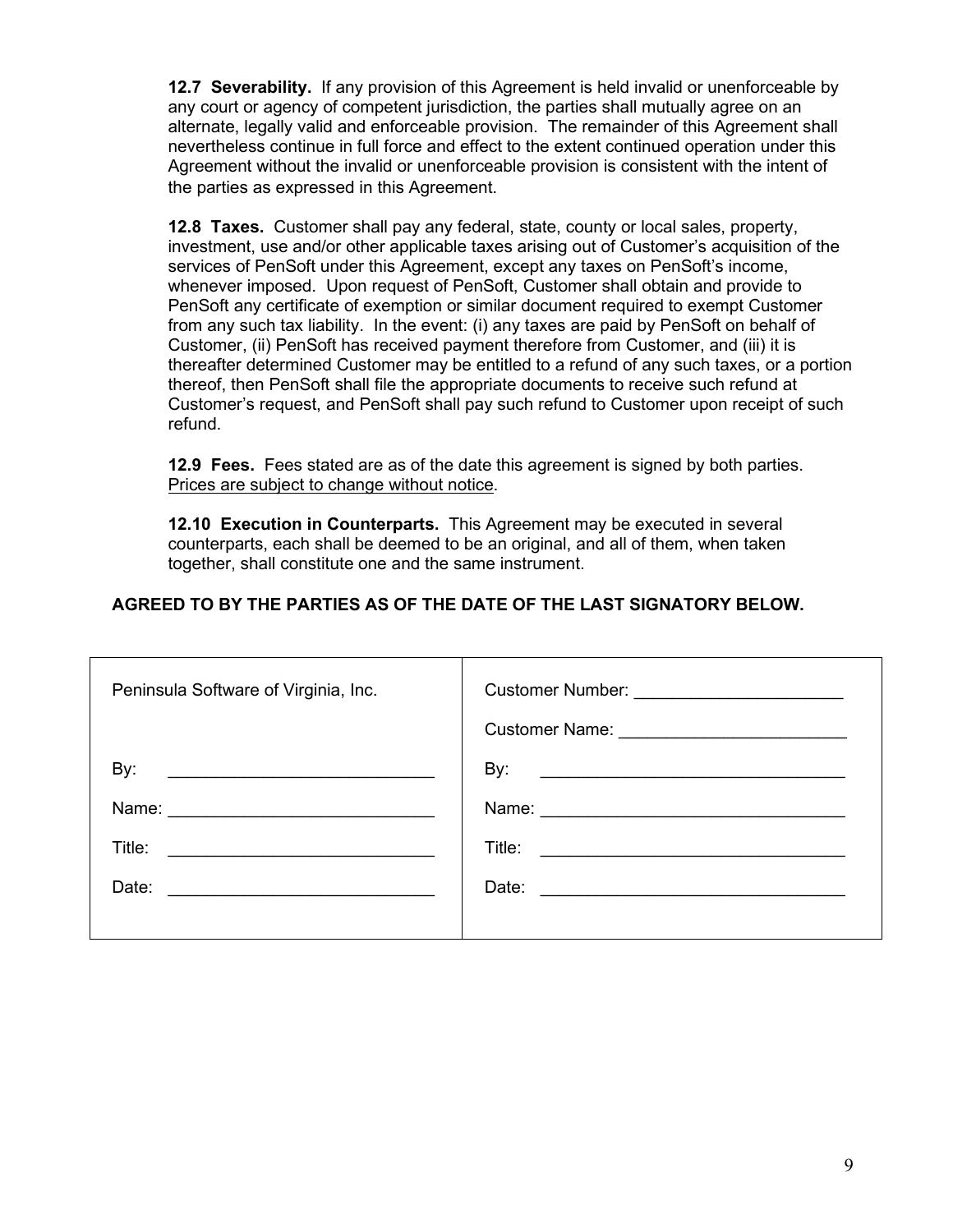**12.7 Severability.** If any provision of this Agreement is held invalid or unenforceable by any court or agency of competent jurisdiction, the parties shall mutually agree on an alternate, legally valid and enforceable provision. The remainder of this Agreement shall nevertheless continue in full force and effect to the extent continued operation under this Agreement without the invalid or unenforceable provision is consistent with the intent of the parties as expressed in this Agreement.

**12.8 Taxes.** Customer shall pay any federal, state, county or local sales, property, investment, use and/or other applicable taxes arising out of Customer's acquisition of the services of PenSoft under this Agreement, except any taxes on PenSoft's income, whenever imposed. Upon request of PenSoft, Customer shall obtain and provide to PenSoft any certificate of exemption or similar document required to exempt Customer from any such tax liability. In the event: (i) any taxes are paid by PenSoft on behalf of Customer, (ii) PenSoft has received payment therefore from Customer, and (iii) it is thereafter determined Customer may be entitled to a refund of any such taxes, or a portion thereof, then PenSoft shall file the appropriate documents to receive such refund at Customer's request, and PenSoft shall pay such refund to Customer upon receipt of such refund.

**12.9 Fees.** Fees stated are as of the date this agreement is signed by both parties. Prices are subject to change without notice.

**12.10 Execution in Counterparts.** This Agreement may be executed in several counterparts, each shall be deemed to be an original, and all of them, when taken together, shall constitute one and the same instrument.

# **AGREED TO BY THE PARTIES AS OF THE DATE OF THE LAST SIGNATORY BELOW.**

| Peninsula Software of Virginia, Inc.                                                                                                                                                                                                                           |                                                                                                                                                                                                                                                                  |
|----------------------------------------------------------------------------------------------------------------------------------------------------------------------------------------------------------------------------------------------------------------|------------------------------------------------------------------------------------------------------------------------------------------------------------------------------------------------------------------------------------------------------------------|
| By:<br>Title:<br><u>and the state of the state of the state of the state of the state of the state of the state of the state of the state of the state of the state of the state of the state of the state of the state of the state of the state</u><br>Date: | By:<br><u> 1989 - Johann Barn, fransk politik amerikansk politik (</u><br>Title:<br><u> 1980 - Jan Samuel Barbara, martin d</u><br>Date:<br><u> 1989 - Andrea State Barbara, política establecente de la propia de la propia de la propia de la propia de la</u> |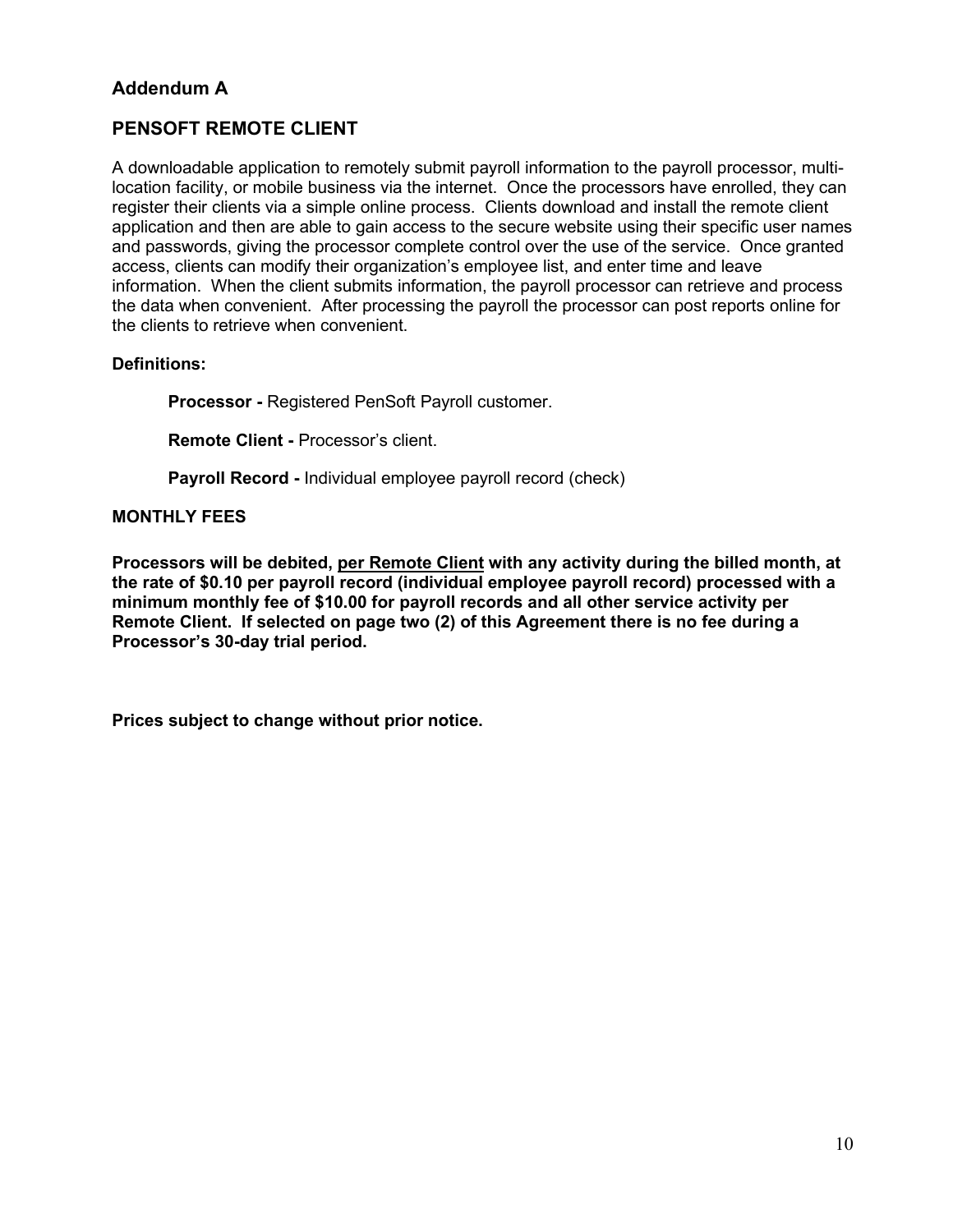# **Addendum A**

# **PENSOFT REMOTE CLIENT**

A downloadable application to remotely submit payroll information to the payroll processor, multilocation facility, or mobile business via the internet. Once the processors have enrolled, they can register their clients via a simple online process. Clients download and install the remote client application and then are able to gain access to the secure website using their specific user names and passwords, giving the processor complete control over the use of the service. Once granted access, clients can modify their organization's employee list, and enter time and leave information. When the client submits information, the payroll processor can retrieve and process the data when convenient. After processing the payroll the processor can post reports online for the clients to retrieve when convenient.

### **Definitions:**

**Processor -** Registered PenSoft Payroll customer.

**Remote Client -** Processor's client.

**Payroll Record -** Individual employee payroll record (check)

#### **MONTHLY FEES**

**Processors will be debited, per Remote Client with any activity during the billed month, at the rate of \$0.10 per payroll record (individual employee payroll record) processed with a minimum monthly fee of \$10.00 for payroll records and all other service activity per Remote Client. If selected on page two (2) of this Agreement there is no fee during a Processor's 30-day trial period.**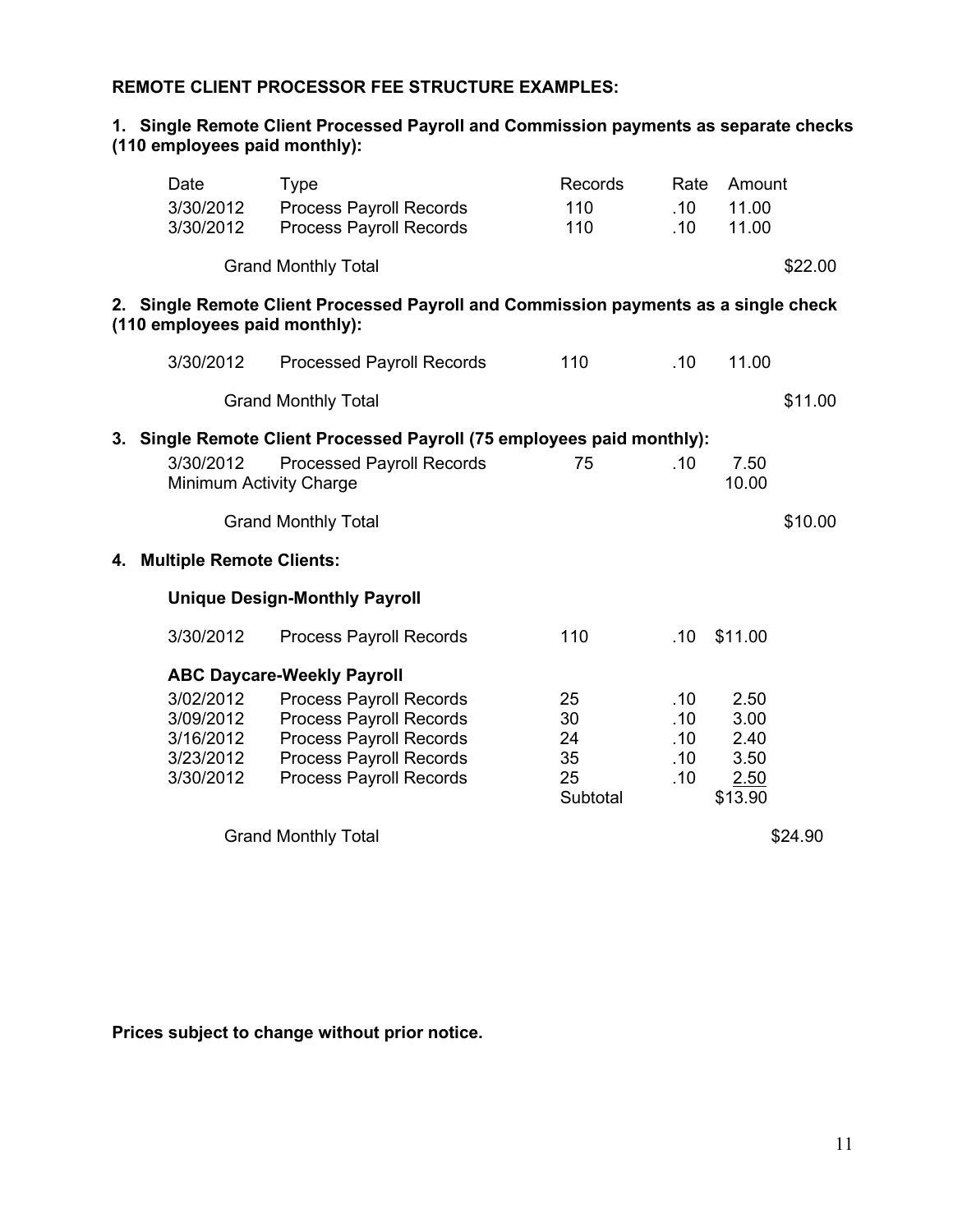# **REMOTE CLIENT PROCESSOR FEE STRUCTURE EXAMPLES:**

### **1. Single Remote Client Processed Payroll and Commission payments as separate checks (110 employees paid monthly):**

|    | Date                            | <b>Type</b>                                                                         | Records  | Rate | Amount  |         |
|----|---------------------------------|-------------------------------------------------------------------------------------|----------|------|---------|---------|
|    | 3/30/2012                       | <b>Process Payroll Records</b>                                                      | 110      | .10  | 11.00   |         |
|    | 3/30/2012                       | <b>Process Payroll Records</b>                                                      | 110      | .10  | 11.00   |         |
|    |                                 | <b>Grand Monthly Total</b>                                                          |          |      |         | \$22.00 |
|    | (110 employees paid monthly):   | 2. Single Remote Client Processed Payroll and Commission payments as a single check |          |      |         |         |
|    | 3/30/2012                       | <b>Processed Payroll Records</b>                                                    | 110      | .10  | 11.00   |         |
|    |                                 | <b>Grand Monthly Total</b>                                                          |          |      |         | \$11.00 |
| 3. |                                 | Single Remote Client Processed Payroll (75 employees paid monthly):                 |          |      |         |         |
|    | 3/30/2012                       | <b>Processed Payroll Records</b>                                                    | 75       | .10  | 7.50    |         |
|    |                                 | Minimum Activity Charge                                                             |          |      | 10.00   |         |
|    |                                 | <b>Grand Monthly Total</b>                                                          |          |      |         | \$10.00 |
| 4. | <b>Multiple Remote Clients:</b> |                                                                                     |          |      |         |         |
|    |                                 | <b>Unique Design-Monthly Payroll</b>                                                |          |      |         |         |
|    | 3/30/2012                       | <b>Process Payroll Records</b>                                                      | 110      | .10  | \$11.00 |         |
|    |                                 | <b>ABC Daycare-Weekly Payroll</b>                                                   |          |      |         |         |
|    | 3/02/2012                       | <b>Process Payroll Records</b>                                                      | 25       | .10  | 2.50    |         |
|    | 3/09/2012                       | <b>Process Payroll Records</b>                                                      | 30       | .10  | 3.00    |         |
|    | 3/16/2012                       | Process Payroll Records                                                             | 24       | .10  | 2.40    |         |
|    | 3/23/2012                       | <b>Process Payroll Records</b>                                                      | 35       | .10  | 3.50    |         |
|    | 3/30/2012                       | <b>Process Payroll Records</b>                                                      | 25       | .10  | 2.50    |         |
|    |                                 |                                                                                     | Subtotal |      | \$13.90 |         |
|    |                                 | <b>Grand Monthly Total</b>                                                          |          |      |         | \$24.90 |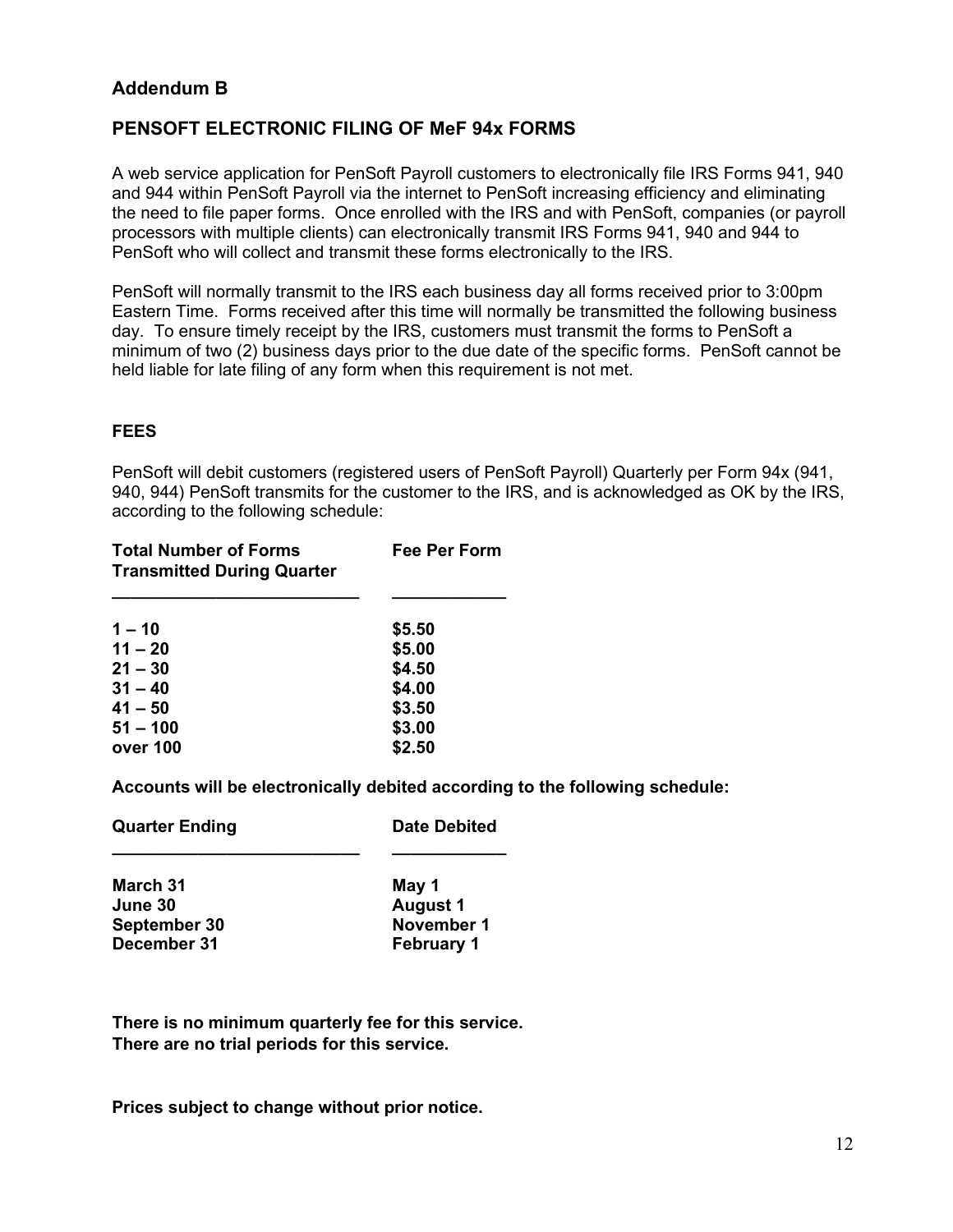# **Addendum B**

# **PENSOFT ELECTRONIC FILING OF MeF 94x FORMS**

A web service application for PenSoft Payroll customers to electronically file IRS Forms 941, 940 and 944 within PenSoft Payroll via the internet to PenSoft increasing efficiency and eliminating the need to file paper forms. Once enrolled with the IRS and with PenSoft, companies (or payroll processors with multiple clients) can electronically transmit IRS Forms 941, 940 and 944 to PenSoft who will collect and transmit these forms electronically to the IRS.

PenSoft will normally transmit to the IRS each business day all forms received prior to 3:00pm Eastern Time. Forms received after this time will normally be transmitted the following business day. To ensure timely receipt by the IRS, customers must transmit the forms to PenSoft a minimum of two (2) business days prior to the due date of the specific forms. PenSoft cannot be held liable for late filing of any form when this requirement is not met.

#### **FEES**

PenSoft will debit customers (registered users of PenSoft Payroll) Quarterly per Form 94x (941, 940, 944) PenSoft transmits for the customer to the IRS, and is acknowledged as OK by the IRS, according to the following schedule:

| <b>Total Number of Forms</b><br><b>Transmitted During Quarter</b> | Fee Per Form |
|-------------------------------------------------------------------|--------------|
| $1 - 10$                                                          | \$5.50       |
| $11 - 20$                                                         | \$5.00       |
| $21 - 30$                                                         | \$4.50       |
| $31 - 40$                                                         | \$4.00       |
| $41 - 50$                                                         | \$3.50       |
| $51 - 100$                                                        | \$3.00       |
| over 100                                                          | \$2.50       |

**Accounts will be electronically debited according to the following schedule:**

| <b>Quarter Ending</b> | <b>Date Debited</b> |
|-----------------------|---------------------|
| March 31              | May 1               |
| June 30               | <b>August 1</b>     |
| September 30          | November 1          |
| December 31           | <b>February 1</b>   |

**There is no minimum quarterly fee for this service. There are no trial periods for this service.**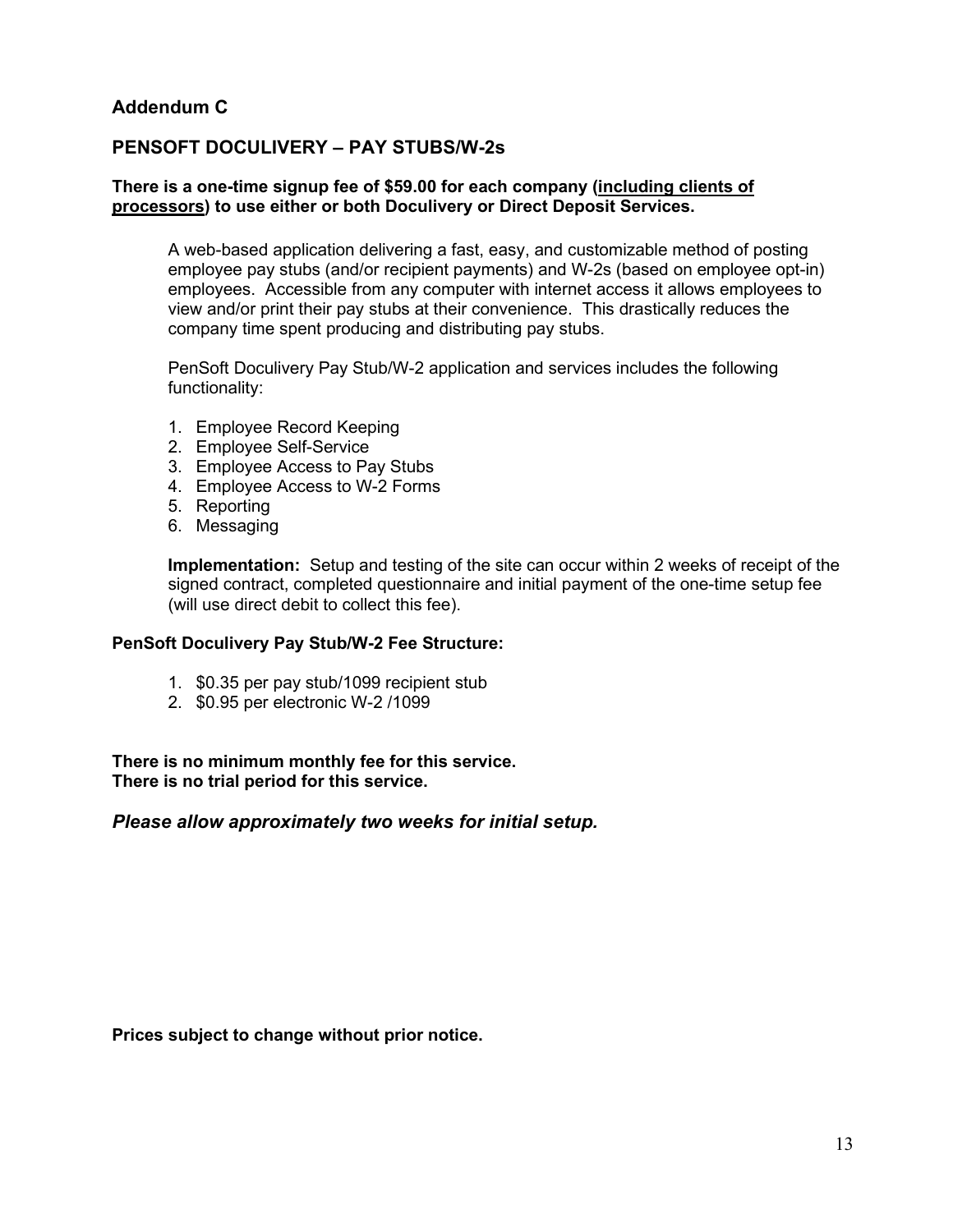# **Addendum C**

# **PENSOFT DOCULIVERY – PAY STUBS/W-2s**

#### **There is a one-time signup fee of \$59.00 for each company (including clients of processors) to use either or both Doculivery or Direct Deposit Services.**

A web-based application delivering a fast, easy, and customizable method of posting employee pay stubs (and/or recipient payments) and W-2s (based on employee opt-in) employees. Accessible from any computer with internet access it allows employees to view and/or print their pay stubs at their convenience. This drastically reduces the company time spent producing and distributing pay stubs.

PenSoft Doculivery Pay Stub/W-2 application and services includes the following functionality:

- 1. Employee Record Keeping
- 2. Employee Self-Service
- 3. Employee Access to Pay Stubs
- 4. Employee Access to W-2 Forms
- 5. Reporting
- 6. Messaging

**Implementation:** Setup and testing of the site can occur within 2 weeks of receipt of the signed contract, completed questionnaire and initial payment of the one-time setup fee (will use direct debit to collect this fee).

#### **PenSoft Doculivery Pay Stub/W-2 Fee Structure:**

- 1. \$0.35 per pay stub/1099 recipient stub
- 2. \$0.95 per electronic W-2 /1099

**There is no minimum monthly fee for this service. There is no trial period for this service.**

#### *Please allow approximately two weeks for initial setup.*